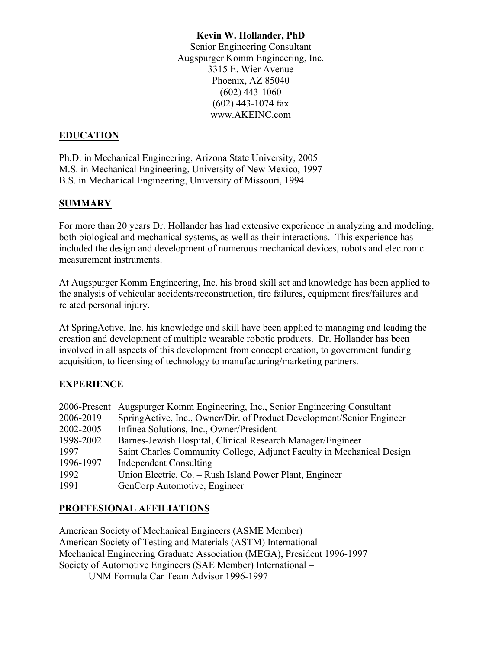### **Kevin W. Hollander, PhD**

Senior Engineering Consultant Augspurger Komm Engineering, Inc. 3315 E. Wier Avenue Phoenix, AZ 85040 (602) 443-1060 (602) 443-1074 fax www.AKEINC.com

## **EDUCATION**

Ph.D. in Mechanical Engineering, Arizona State University, 2005 M.S. in Mechanical Engineering, University of New Mexico, 1997 B.S. in Mechanical Engineering, University of Missouri, 1994

## **SUMMARY**

For more than 20 years Dr. Hollander has had extensive experience in analyzing and modeling, both biological and mechanical systems, as well as their interactions. This experience has included the design and development of numerous mechanical devices, robots and electronic measurement instruments.

At Augspurger Komm Engineering, Inc. his broad skill set and knowledge has been applied to the analysis of vehicular accidents/reconstruction, tire failures, equipment fires/failures and related personal injury.

At SpringActive, Inc. his knowledge and skill have been applied to managing and leading the creation and development of multiple wearable robotic products. Dr. Hollander has been involved in all aspects of this development from concept creation, to government funding acquisition, to licensing of technology to manufacturing/marketing partners.

# **EXPERIENCE**

|           | 2006-Present Augspurger Komm Engineering, Inc., Senior Engineering Consultant |
|-----------|-------------------------------------------------------------------------------|
| 2006-2019 | SpringActive, Inc., Owner/Dir. of Product Development/Senior Engineer         |
| 2002-2005 | Infinea Solutions, Inc., Owner/President                                      |
| 1998-2002 | Barnes-Jewish Hospital, Clinical Research Manager/Engineer                    |
| 1997      | Saint Charles Community College, Adjunct Faculty in Mechanical Design         |
| 1996-1997 | Independent Consulting                                                        |
| 1992      | Union Electric, Co. – Rush Island Power Plant, Engineer                       |
| 1991      | GenCorp Automotive, Engineer                                                  |

# **PROFFESIONAL AFFILIATIONS**

American Society of Mechanical Engineers (ASME Member) American Society of Testing and Materials (ASTM) International Mechanical Engineering Graduate Association (MEGA), President 1996-1997 Society of Automotive Engineers (SAE Member) International – UNM Formula Car Team Advisor 1996-1997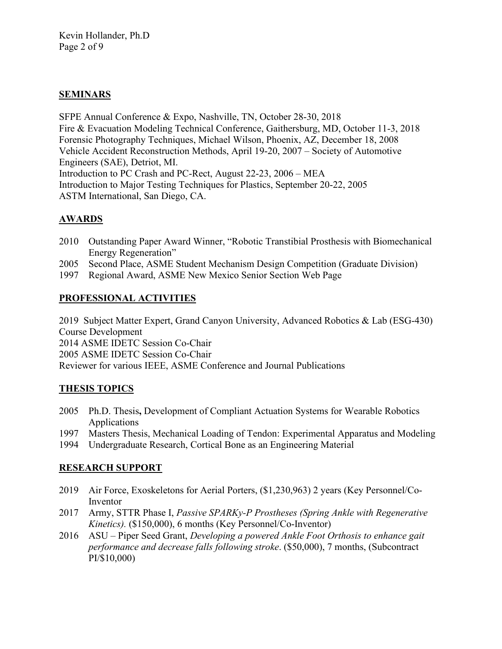## **SEMINARS**

SFPE Annual Conference & Expo, Nashville, TN, October 28-30, 2018 Fire & Evacuation Modeling Technical Conference, Gaithersburg, MD, October 11-3, 2018 Forensic Photography Techniques, Michael Wilson, Phoenix, AZ, December 18, 2008 Vehicle Accident Reconstruction Methods, April 19-20, 2007 – Society of Automotive Engineers (SAE), Detriot, MI. Introduction to PC Crash and PC-Rect, August 22-23, 2006 – MEA Introduction to Major Testing Techniques for Plastics, September 20-22, 2005 ASTM International, San Diego, CA.

## **AWARDS**

- 2010 Outstanding Paper Award Winner, "Robotic Transtibial Prosthesis with Biomechanical Energy Regeneration"
- 2005 Second Place, ASME Student Mechanism Design Competition (Graduate Division)
- 1997 Regional Award, ASME New Mexico Senior Section Web Page

#### **PROFESSIONAL ACTIVITIES**

2019 Subject Matter Expert, Grand Canyon University, Advanced Robotics & Lab (ESG-430) Course Development 2014 ASME IDETC Session Co-Chair

2005 ASME IDETC Session Co-Chair

Reviewer for various IEEE, ASME Conference and Journal Publications

## **THESIS TOPICS**

- 2005 Ph.D. Thesis**,** Development of Compliant Actuation Systems for Wearable Robotics Applications
- 1997 Masters Thesis, Mechanical Loading of Tendon: Experimental Apparatus and Modeling
- 1994 Undergraduate Research, Cortical Bone as an Engineering Material

## **RESEARCH SUPPORT**

- 2019 Air Force, Exoskeletons for Aerial Porters, (\$1,230,963) 2 years (Key Personnel/Co-Inventor
- 2017 Army, STTR Phase I, *Passive SPARKy-P Prostheses (Spring Ankle with Regenerative Kinetics).* (\$150,000), 6 months (Key Personnel/Co-Inventor)
- 2016 ASU Piper Seed Grant, *Developing a powered Ankle Foot Orthosis to enhance gait performance and decrease falls following stroke*. (\$50,000), 7 months, (Subcontract PI/\$10,000)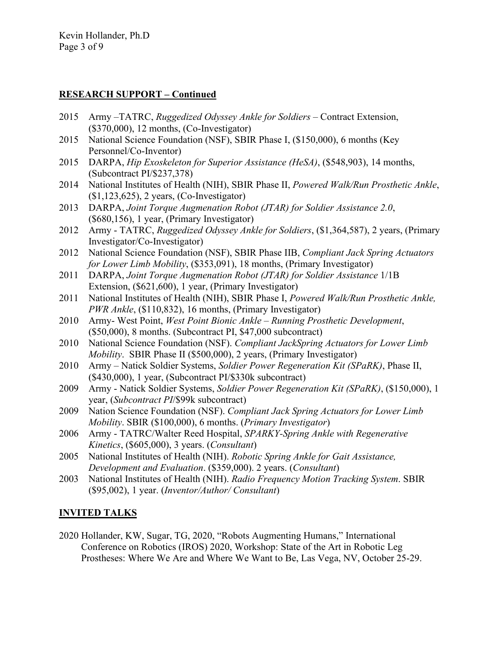## **RESEARCH SUPPORT – Continued**

- 2015 Army –TATRC, *Ruggedized Odyssey Ankle for Soldiers* Contract Extension, (\$370,000), 12 months, (Co-Investigator)
- 2015 National Science Foundation (NSF), SBIR Phase I, (\$150,000), 6 months (Key Personnel/Co-Inventor)
- 2015 DARPA, *Hip Exoskeleton for Superior Assistance (HeSA)*, (\$548,903), 14 months, (Subcontract PI/\$237,378)
- 2014 National Institutes of Health (NIH), SBIR Phase II, *Powered Walk/Run Prosthetic Ankle*, (\$1,123,625), 2 years, (Co-Investigator)
- 2013 DARPA, *Joint Torque Augmenation Robot (JTAR) for Soldier Assistance 2.0*, (\$680,156), 1 year, (Primary Investigator)
- 2012 Army TATRC, *Ruggedized Odyssey Ankle for Soldiers*, (\$1,364,587), 2 years, (Primary Investigator/Co-Investigator)
- 2012 National Science Foundation (NSF), SBIR Phase IIB, *Compliant Jack Spring Actuators for Lower Limb Mobility*, (\$353,091), 18 months, (Primary Investigator)
- 2011 DARPA, *Joint Torque Augmenation Robot (JTAR) for Soldier Assistance* 1/1B Extension, (\$621,600), 1 year, (Primary Investigator)
- 2011 National Institutes of Health (NIH), SBIR Phase I, *Powered Walk/Run Prosthetic Ankle, PWR Ankle*, (\$110,832), 16 months, (Primary Investigator)
- 2010 Army- West Point, *West Point Bionic Ankle – Running Prosthetic Development*, (\$50,000), 8 months. (Subcontract PI, \$47,000 subcontract)
- 2010 National Science Foundation (NSF). *Compliant JackSpring Actuators for Lower Limb Mobility*. SBIR Phase II (\$500,000), 2 years, (Primary Investigator)
- 2010 Army Natick Soldier Systems, *Soldier Power Regeneration Kit (SPaRK)*, Phase II, (\$430,000), 1 year, (Subcontract PI/\$330k subcontract)
- 2009 Army Natick Soldier Systems, *Soldier Power Regeneration Kit (SPaRK)*, (\$150,000), 1 year, (*Subcontract PI*/\$99k subcontract)
- 2009 Nation Science Foundation (NSF). *Compliant Jack Spring Actuators for Lower Limb Mobility*. SBIR (\$100,000), 6 months. (*Primary Investigator*)
- 2006 Army TATRC/Walter Reed Hospital, *SPARKY-Spring Ankle with Regenerative Kinetics*, (\$605,000), 3 years. (*Consultant*)
- 2005 National Institutes of Health (NIH). *Robotic Spring Ankle for Gait Assistance, Development and Evaluation*. (\$359,000). 2 years. (*Consultant*)
- 2003 National Institutes of Health (NIH). *Radio Frequency Motion Tracking System*. SBIR (\$95,002), 1 year. (*Inventor/Author/ Consultant*)

# **INVITED TALKS**

2020 Hollander, KW, Sugar, TG, 2020, "Robots Augmenting Humans," International Conference on Robotics (IROS) 2020, Workshop: State of the Art in Robotic Leg Prostheses: Where We Are and Where We Want to Be, Las Vega, NV, October 25-29.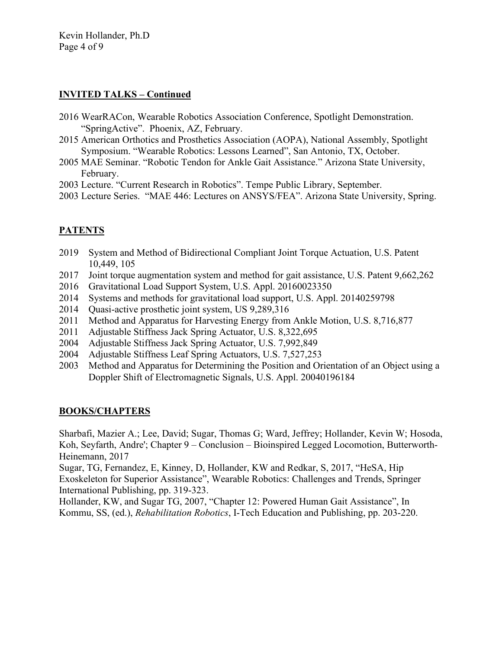Kevin Hollander, Ph.D Page 4 of 9

# **INVITED TALKS – Continued**

- 2016 WearRACon, Wearable Robotics Association Conference, Spotlight Demonstration. "SpringActive". Phoenix, AZ, February.
- 2015 American Orthotics and Prosthetics Association (AOPA), National Assembly, Spotlight Symposium. "Wearable Robotics: Lessons Learned", San Antonio, TX, October.
- 2005 MAE Seminar. "Robotic Tendon for Ankle Gait Assistance." Arizona State University, February.
- 2003 Lecture. "Current Research in Robotics". Tempe Public Library, September.
- 2003 Lecture Series. "MAE 446: Lectures on ANSYS/FEA". Arizona State University, Spring.

# **PATENTS**

- 2019 System and Method of Bidirectional Compliant Joint Torque Actuation, U.S. Patent 10,449, 105
- 2017 Joint torque augmentation system and method for gait assistance, U.S. Patent 9,662,262
- 2016 Gravitational Load Support System, U.S. Appl. 20160023350
- 2014 Systems and methods for gravitational load support, U.S. Appl. 20140259798
- 2014 Quasi-active prosthetic joint system, US 9,289,316
- 2011 Method and Apparatus for Harvesting Energy from Ankle Motion, U.S. 8,716,877
- 2011 Adjustable Stiffness Jack Spring Actuator, U.S. 8,322,695
- 2004 Adjustable Stiffness Jack Spring Actuator, U.S. 7,992,849
- 2004 Adjustable Stiffness Leaf Spring Actuators, U.S. 7,527,253
- 2003 Method and Apparatus for Determining the Position and Orientation of an Object using a Doppler Shift of Electromagnetic Signals, U.S. Appl. 20040196184

## **BOOKS/CHAPTERS**

Sharbafi, Mazier A.; Lee, David; Sugar, Thomas G; Ward, Jeffrey; Hollander, Kevin W; Hosoda, Koh, Seyfarth, Andre'; Chapter 9 – Conclusion – Bioinspired Legged Locomotion, Butterworth-Heinemann, 2017

Sugar, TG, Fernandez, E, Kinney, D, Hollander, KW and Redkar, S, 2017, "HeSA, Hip Exoskeleton for Superior Assistance", Wearable Robotics: Challenges and Trends, Springer International Publishing, pp. 319-323.

Hollander, KW, and Sugar TG, 2007, "Chapter 12: Powered Human Gait Assistance", In Kommu, SS, (ed.), *Rehabilitation Robotics*, I-Tech Education and Publishing, pp. 203-220.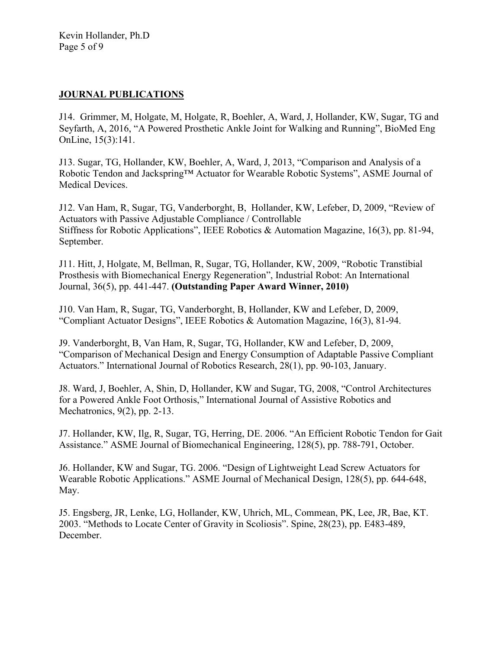## **JOURNAL PUBLICATIONS**

J14. Grimmer, M, Holgate, M, Holgate, R, Boehler, A, Ward, J, Hollander, KW, Sugar, TG and Seyfarth, A, 2016, "A Powered Prosthetic Ankle Joint for Walking and Running", BioMed Eng OnLine, 15(3):141.

J13. Sugar, TG, Hollander, KW, Boehler, A, Ward, J, 2013, "Comparison and Analysis of a Robotic Tendon and Jackspring™ Actuator for Wearable Robotic Systems", ASME Journal of Medical Devices.

J12. Van Ham, R, Sugar, TG, Vanderborght, B, Hollander, KW, Lefeber, D, 2009, "Review of Actuators with Passive Adjustable Compliance / Controllable Stiffness for Robotic Applications", IEEE Robotics & Automation Magazine, 16(3), pp. 81-94, September.

J11. Hitt, J, Holgate, M, Bellman, R, Sugar, TG, Hollander, KW, 2009, "Robotic Transtibial Prosthesis with Biomechanical Energy Regeneration", Industrial Robot: An International Journal, 36(5), pp. 441-447. **(Outstanding Paper Award Winner, 2010)**

J10. Van Ham, R, Sugar, TG, Vanderborght, B, Hollander, KW and Lefeber, D, 2009, "Compliant Actuator Designs", IEEE Robotics & Automation Magazine, 16(3), 81-94.

J9. Vanderborght, B, Van Ham, R, Sugar, TG, Hollander, KW and Lefeber, D, 2009, "Comparison of Mechanical Design and Energy Consumption of Adaptable Passive Compliant Actuators." International Journal of Robotics Research, 28(1), pp. 90-103, January.

J8. Ward, J, Boehler, A, Shin, D, Hollander, KW and Sugar, TG, 2008, "Control Architectures for a Powered Ankle Foot Orthosis," International Journal of Assistive Robotics and Mechatronics, 9(2), pp. 2-13.

J7. Hollander, KW, Ilg, R, Sugar, TG, Herring, DE. 2006. "An Efficient Robotic Tendon for Gait Assistance." ASME Journal of Biomechanical Engineering, 128(5), pp. 788-791, October.

J6. Hollander, KW and Sugar, TG. 2006. "Design of Lightweight Lead Screw Actuators for Wearable Robotic Applications." ASME Journal of Mechanical Design, 128(5), pp. 644-648, May.

J5. Engsberg, JR, Lenke, LG, Hollander, KW, Uhrich, ML, Commean, PK, Lee, JR, Bae, KT. 2003. "Methods to Locate Center of Gravity in Scoliosis". Spine, 28(23), pp. E483-489, December.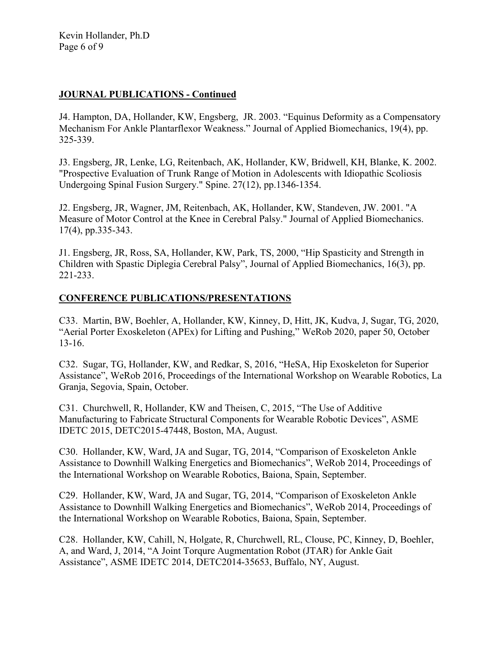Kevin Hollander, Ph.D Page 6 of 9

### **JOURNAL PUBLICATIONS - Continued**

J4. Hampton, DA, Hollander, KW, Engsberg, JR. 2003. "Equinus Deformity as a Compensatory Mechanism For Ankle Plantarflexor Weakness." Journal of Applied Biomechanics, 19(4), pp. 325-339.

J3. Engsberg, JR, Lenke, LG, Reitenbach, AK, Hollander, KW, Bridwell, KH, Blanke, K. 2002. "Prospective Evaluation of Trunk Range of Motion in Adolescents with Idiopathic Scoliosis Undergoing Spinal Fusion Surgery." Spine. 27(12), pp.1346-1354.

J2. Engsberg, JR, Wagner, JM, Reitenbach, AK, Hollander, KW, Standeven, JW. 2001. "A Measure of Motor Control at the Knee in Cerebral Palsy." Journal of Applied Biomechanics. 17(4), pp.335-343.

J1. Engsberg, JR, Ross, SA, Hollander, KW, Park, TS, 2000, "Hip Spasticity and Strength in Children with Spastic Diplegia Cerebral Palsy", Journal of Applied Biomechanics, 16(3), pp. 221-233.

#### **CONFERENCE PUBLICATIONS/PRESENTATIONS**

C33. Martin, BW, Boehler, A, Hollander, KW, Kinney, D, Hitt, JK, Kudva, J, Sugar, TG, 2020, "Aerial Porter Exoskeleton (APEx) for Lifting and Pushing," WeRob 2020, paper 50, October 13-16.

C32. Sugar, TG, Hollander, KW, and Redkar, S, 2016, "HeSA, Hip Exoskeleton for Superior Assistance", WeRob 2016, Proceedings of the International Workshop on Wearable Robotics, La Granja, Segovia, Spain, October.

C31. Churchwell, R, Hollander, KW and Theisen, C, 2015, "The Use of Additive Manufacturing to Fabricate Structural Components for Wearable Robotic Devices", ASME IDETC 2015, DETC2015-47448, Boston, MA, August.

C30. Hollander, KW, Ward, JA and Sugar, TG, 2014, "Comparison of Exoskeleton Ankle Assistance to Downhill Walking Energetics and Biomechanics", WeRob 2014, Proceedings of the International Workshop on Wearable Robotics, Baiona, Spain, September.

C29. Hollander, KW, Ward, JA and Sugar, TG, 2014, "Comparison of Exoskeleton Ankle Assistance to Downhill Walking Energetics and Biomechanics", WeRob 2014, Proceedings of the International Workshop on Wearable Robotics, Baiona, Spain, September.

C28. Hollander, KW, Cahill, N, Holgate, R, Churchwell, RL, Clouse, PC, Kinney, D, Boehler, A, and Ward, J, 2014, "A Joint Torqure Augmentation Robot (JTAR) for Ankle Gait Assistance", ASME IDETC 2014, DETC2014-35653, Buffalo, NY, August.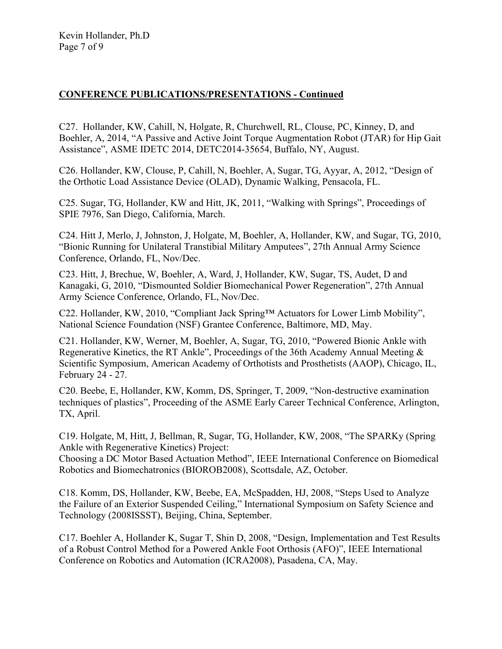## **CONFERENCE PUBLICATIONS/PRESENTATIONS - Continued**

C27. Hollander, KW, Cahill, N, Holgate, R, Churchwell, RL, Clouse, PC, Kinney, D, and Boehler, A, 2014, "A Passive and Active Joint Torque Augmentation Robot (JTAR) for Hip Gait Assistance", ASME IDETC 2014, DETC2014-35654, Buffalo, NY, August.

C26. Hollander, KW, Clouse, P, Cahill, N, Boehler, A, Sugar, TG, Ayyar, A, 2012, "Design of the Orthotic Load Assistance Device (OLAD), Dynamic Walking, Pensacola, FL.

C25. Sugar, TG, Hollander, KW and Hitt, JK, 2011, "Walking with Springs", Proceedings of SPIE 7976, San Diego, California, March.

C24. Hitt J, Merlo, J, Johnston, J, Holgate, M, Boehler, A, Hollander, KW, and Sugar, TG, 2010, "Bionic Running for Unilateral Transtibial Military Amputees", 27th Annual Army Science Conference, Orlando, FL, Nov/Dec.

C23. Hitt, J, Brechue, W, Boehler, A, Ward, J, Hollander, KW, Sugar, TS, Audet, D and Kanagaki, G, 2010, "Dismounted Soldier Biomechanical Power Regeneration", 27th Annual Army Science Conference, Orlando, FL, Nov/Dec.

C22. Hollander, KW, 2010, "Compliant Jack Spring™ Actuators for Lower Limb Mobility", National Science Foundation (NSF) Grantee Conference, Baltimore, MD, May.

C21. Hollander, KW, Werner, M, Boehler, A, Sugar, TG, 2010, "Powered Bionic Ankle with Regenerative Kinetics, the RT Ankle", Proceedings of the 36th Academy Annual Meeting & Scientific Symposium, American Academy of Orthotists and Prosthetists (AAOP), Chicago, IL, February 24 - 27.

C20. Beebe, E, Hollander, KW, Komm, DS, Springer, T, 2009, "Non-destructive examination techniques of plastics", Proceeding of the ASME Early Career Technical Conference, Arlington, TX, April.

C19. Holgate, M, Hitt, J, Bellman, R, Sugar, TG, Hollander, KW, 2008, "The SPARKy (Spring Ankle with Regenerative Kinetics) Project:

Choosing a DC Motor Based Actuation Method", IEEE International Conference on Biomedical Robotics and Biomechatronics (BIOROB2008), Scottsdale, AZ, October.

C18. Komm, DS, Hollander, KW, Beebe, EA, McSpadden, HJ, 2008, "Steps Used to Analyze the Failure of an Exterior Suspended Ceiling," International Symposium on Safety Science and Technology (2008ISSST), Beijing, China, September.

C17. Boehler A, Hollander K, Sugar T, Shin D, 2008, "Design, Implementation and Test Results of a Robust Control Method for a Powered Ankle Foot Orthosis (AFO)", IEEE International Conference on Robotics and Automation (ICRA2008), Pasadena, CA, May.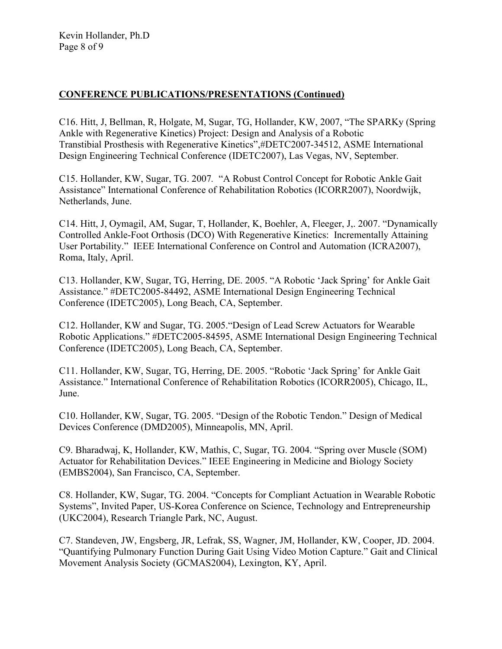## **CONFERENCE PUBLICATIONS/PRESENTATIONS (Continued)**

C16. Hitt, J, Bellman, R, Holgate, M, Sugar, TG, Hollander, KW, 2007, "The SPARKy (Spring Ankle with Regenerative Kinetics) Project: Design and Analysis of a Robotic Transtibial Prosthesis with Regenerative Kinetics",#DETC2007-34512, ASME International Design Engineering Technical Conference (IDETC2007), Las Vegas, NV, September.

C15. Hollander, KW, Sugar, TG. 2007*.* "A Robust Control Concept for Robotic Ankle Gait Assistance" International Conference of Rehabilitation Robotics (ICORR2007), Noordwijk, Netherlands, June.

C14. Hitt, J, Oymagil, AM, Sugar, T, Hollander, K, Boehler, A, Fleeger, J,. 2007. "Dynamically Controlled Ankle-Foot Orthosis (DCO) With Regenerative Kinetics: Incrementally Attaining User Portability." IEEE International Conference on Control and Automation (ICRA2007), Roma, Italy, April.

C13. Hollander, KW, Sugar, TG, Herring, DE. 2005. "A Robotic 'Jack Spring' for Ankle Gait Assistance." #DETC2005-84492, ASME International Design Engineering Technical Conference (IDETC2005), Long Beach, CA, September.

C12. Hollander, KW and Sugar, TG. 2005."Design of Lead Screw Actuators for Wearable Robotic Applications." #DETC2005-84595, ASME International Design Engineering Technical Conference (IDETC2005), Long Beach, CA, September.

C11. Hollander, KW, Sugar, TG, Herring, DE. 2005. "Robotic 'Jack Spring' for Ankle Gait Assistance." International Conference of Rehabilitation Robotics (ICORR2005), Chicago, IL, June.

C10. Hollander, KW, Sugar, TG. 2005. "Design of the Robotic Tendon." Design of Medical Devices Conference (DMD2005), Minneapolis, MN, April.

C9. Bharadwaj, K, Hollander, KW, Mathis, C, Sugar, TG. 2004. "Spring over Muscle (SOM) Actuator for Rehabilitation Devices." IEEE Engineering in Medicine and Biology Society (EMBS2004), San Francisco, CA, September.

C8. Hollander, KW, Sugar, TG. 2004. "Concepts for Compliant Actuation in Wearable Robotic Systems", Invited Paper, US-Korea Conference on Science, Technology and Entrepreneurship (UKC2004), Research Triangle Park, NC, August.

C7. Standeven, JW, Engsberg, JR, Lefrak, SS, Wagner, JM, Hollander, KW, Cooper, JD. 2004. "Quantifying Pulmonary Function During Gait Using Video Motion Capture." Gait and Clinical Movement Analysis Society (GCMAS2004), Lexington, KY, April.